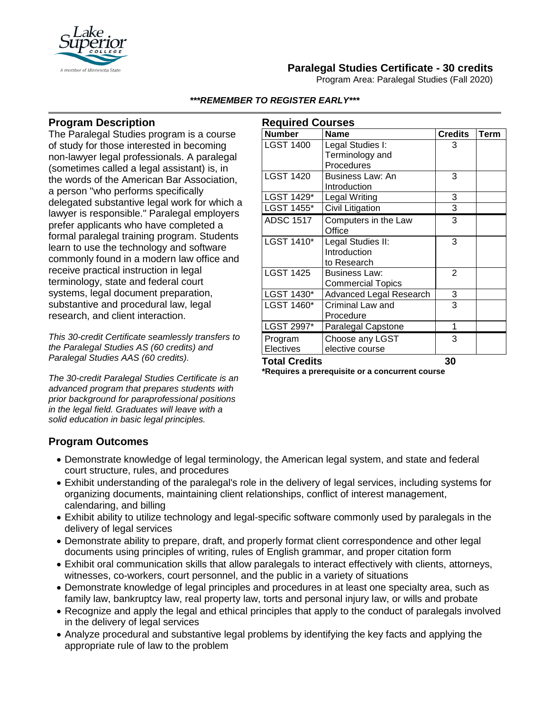

# **Paralegal Studies Certificate - 30 credits**

Program Area: Paralegal Studies (Fall 2020)

#### *\*\*\*REMEMBER TO REGISTER EARLY\*\*\**

## **Program Description**

The Paralegal Studies program is a course of study for those interested in becoming non-lawyer legal professionals. A paralegal (sometimes called a legal assistant) is, in the words of the American Bar Association, a person "who performs specifically delegated substantive legal work for which a lawyer is responsible." Paralegal employers prefer applicants who have completed a formal paralegal training program. Students learn to use the technology and software commonly found in a modern law office and receive practical instruction in legal terminology, state and federal court systems, legal document preparation, substantive and procedural law, legal research, and client interaction.

*This 30-credit Certificate seamlessly transfers to the Paralegal Studies AS (60 credits) and Paralegal Studies AAS (60 credits).*

*The 30-credit Paralegal Studies Certificate is an advanced program that prepares students with prior background for paraprofessional positions in the legal field. Graduates will leave with a solid education in basic legal principles.*

| <b>Required Courses</b> |                           |                |             |
|-------------------------|---------------------------|----------------|-------------|
| <b>Number</b>           | <b>Name</b>               | <b>Credits</b> | <b>Term</b> |
| <b>LGST 1400</b>        | Legal Studies I:          | 3              |             |
|                         | Terminology and           |                |             |
|                         | Procedures                |                |             |
| <b>LGST 1420</b>        | Business Law: An          | 3              |             |
|                         | Introduction              |                |             |
| LGST 1429*              | <b>Legal Writing</b>      | 3              |             |
| LGST 1455*              | Civil Litigation          | 3              |             |
| <b>ADSC 1517</b>        | Computers in the Law      | 3              |             |
|                         | Office                    |                |             |
| LGST 1410*              | Legal Studies II:         | 3              |             |
|                         | Introduction              |                |             |
|                         | to Research               |                |             |
| <b>LGST 1425</b>        | <b>Business Law:</b>      | $\overline{2}$ |             |
|                         | <b>Commercial Topics</b>  |                |             |
| LGST 1430*              | Advanced Legal Research   | 3              |             |
| LGST 1460*              | Criminal Law and          | 3              |             |
|                         | Procedure                 |                |             |
| LGST 2997*              | <b>Paralegal Capstone</b> | 1              |             |
| Program                 | Choose any LGST           | 3              |             |
| Electives               | elective course           |                |             |
| <b>Total Credits</b>    |                           | 30             |             |

**\*Requires a prerequisite or a concurrent course**

### **Program Outcomes**

- Demonstrate knowledge of legal terminology, the American legal system, and state and federal court structure, rules, and procedures
- Exhibit understanding of the paralegal's role in the delivery of legal services, including systems for organizing documents, maintaining client relationships, conflict of interest management, calendaring, and billing
- Exhibit ability to utilize technology and legal-specific software commonly used by paralegals in the delivery of legal services
- Demonstrate ability to prepare, draft, and properly format client correspondence and other legal documents using principles of writing, rules of English grammar, and proper citation form
- Exhibit oral communication skills that allow paralegals to interact effectively with clients, attorneys, witnesses, co-workers, court personnel, and the public in a variety of situations
- Demonstrate knowledge of legal principles and procedures in at least one specialty area, such as family law, bankruptcy law, real property law, torts and personal injury law, or wills and probate
- Recognize and apply the legal and ethical principles that apply to the conduct of paralegals involved in the delivery of legal services
- Analyze procedural and substantive legal problems by identifying the key facts and applying the appropriate rule of law to the problem